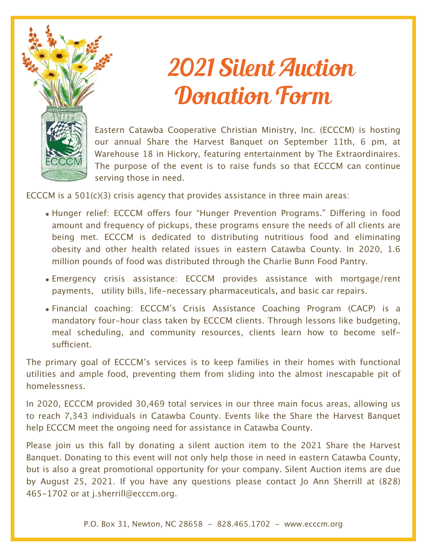

## 2021 Silent Auction Donation Form

Eastern Catawba Cooperative Christian Ministry, Inc. (ECCCM) is hosting our annual Share the Harvest Banquet on September 11th, 6 pm, at Warehouse 18 in Hickory, featuring entertainment by The Extraordinaires. The purpose of the event is to raise funds so that ECCCM can continue serving those in need.

ECCCM is a 501(c)(3) crisis agency that provides assistance in three main areas:

- Hunger relief: ECCCM offers four "Hunger Prevention Programs." Differing in food amount and frequency of pickups, these programs ensure the needs of all clients are being met. ECCCM is dedicated to distributing nutritious food and eliminating obesity and other health related issues in eastern Catawba County. In 2020, 1.6 million pounds of food was distributed through the Charlie Bunn Food Pantry.
- Emergency crisis assistance: ECCCM provides assistance with mortgage/rent payments, utility bills, life-necessary pharmaceuticals, and basic car repairs.
- Financial coaching: ECCCM's Crisis Assistance Coaching Program (CACP) is a mandatory four-hour class taken by ECCCM clients. Through lessons like budgeting, meal scheduling, and community resources, clients learn how to become selfsufficient.

The primary goal of ECCCM's services is to keep families in their homes with functional utilities and ample food, preventing them from sliding into the almost inescapable pit of homelessness.

In 2020, ECCCM provided 30,469 total services in our three main focus areas, allowing us to reach 7,343 individuals in Catawba County. Events like the Share the Harvest Banquet help ECCCM meet the ongoing need for assistance in Catawba County.

Please join us this fall by donating a silent auction item to the 2021 Share the Harvest Banquet. Donating to this event will not only help those in need in eastern Catawba County, but is also a great promotional opportunity for your company. Silent Auction items are due by August 25, 2021. If you have any questions please contact Jo Ann Sherrill at (828) 465-1702 or at j.sherrill@ecccm.org.